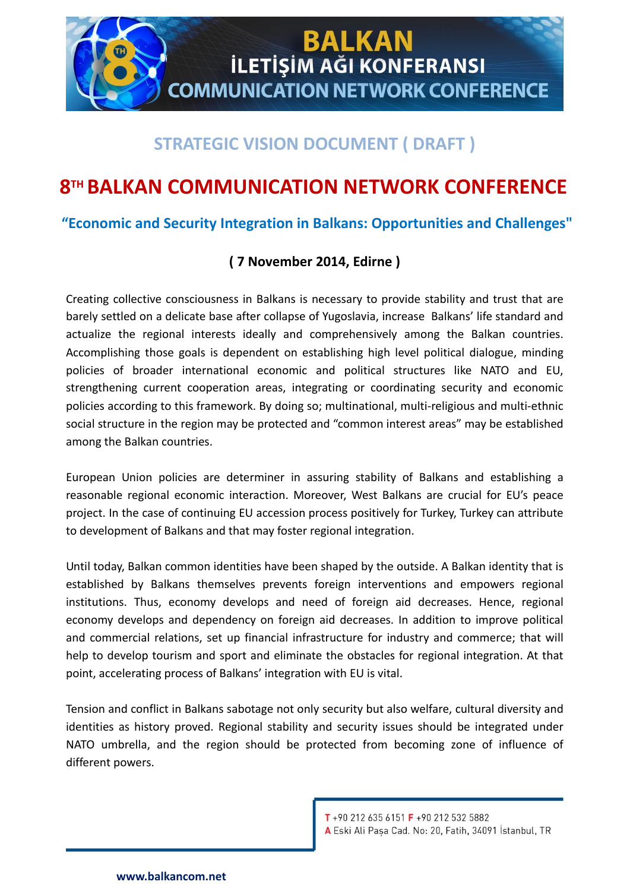

# **STRATEGIC VISION DOCUMENT ( DRAFT )**

# **8 TH BALKAN COMMUNICATION NETWORK CONFERENCE**

**"Economic and Security Integration in Balkans: Opportunities and Challenges"**

## **( 7 November 2014, Edirne )**

Creating collective consciousness in Balkans is necessary to provide stability and trust that are barely settled on a delicate base after collapse of Yugoslavia, increase Balkans' life standard and actualize the regional interests ideally and comprehensively among the Balkan countries. Accomplishing those goals is dependent on establishing high level political dialogue, minding policies of broader international economic and political structures like NATO and EU, strengthening current cooperation areas, integrating or coordinating security and economic policies according to this framework. By doing so; multinational, multi-religious and multi-ethnic social structure in the region may be protected and "common interest areas" may be established among the Balkan countries.

European Union policies are determiner in assuring stability of Balkans and establishing a reasonable regional economic interaction. Moreover, West Balkans are crucial for EU's peace project. In the case of continuing EU accession process positively for Turkey, Turkey can attribute to development of Balkans and that may foster regional integration.

Until today, Balkan common identities have been shaped by the outside. A Balkan identity that is established by Balkans themselves prevents foreign interventions and empowers regional institutions. Thus, economy develops and need of foreign aid decreases. Hence, regional economy develops and dependency on foreign aid decreases. In addition to improve political and commercial relations, set up financial infrastructure for industry and commerce; that will help to develop tourism and sport and eliminate the obstacles for regional integration. At that point, accelerating process of Balkans' integration with EU is vital.

Tension and conflict in Balkans sabotage not only security but also welfare, cultural diversity and identities as history proved. Regional stability and security issues should be integrated under NATO umbrella, and the region should be protected from becoming zone of influence of different powers.